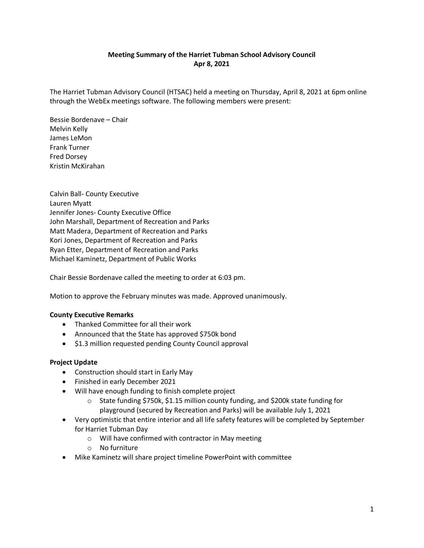## **Meeting Summary of the Harriet Tubman School Advisory Council Apr 8, 2021**

The Harriet Tubman Advisory Council (HTSAC) held a meeting on Thursday, April 8, 2021 at 6pm online through the WebEx meetings software. The following members were present:

Bessie Bordenave – Chair Melvin Kelly James LeMon Frank Turner Fred Dorsey Kristin McKirahan

Calvin Ball- County Executive Lauren Myatt Jennifer Jones- County Executive Office John Marshall, Department of Recreation and Parks Matt Madera, Department of Recreation and Parks Kori Jones, Department of Recreation and Parks Ryan Etter, Department of Recreation and Parks Michael Kaminetz, Department of Public Works

Chair Bessie Bordenave called the meeting to order at 6:03 pm.

Motion to approve the February minutes was made. Approved unanimously.

## **County Executive Remarks**

- Thanked Committee for all their work
- Announced that the State has approved \$750k bond
- \$1.3 million requested pending County Council approval

## **Project Update**

- Construction should start in Early May
- Finished in early December 2021
- Will have enough funding to finish complete project
	- o State funding \$750k, \$1.15 million county funding, and \$200k state funding for playground (secured by Recreation and Parks) will be available July 1, 2021
- Very optimistic that entire interior and all life safety features will be completed by September for Harriet Tubman Day
	- o Will have confirmed with contractor in May meeting
	- o No furniture
- Mike Kaminetz will share project timeline PowerPoint with committee